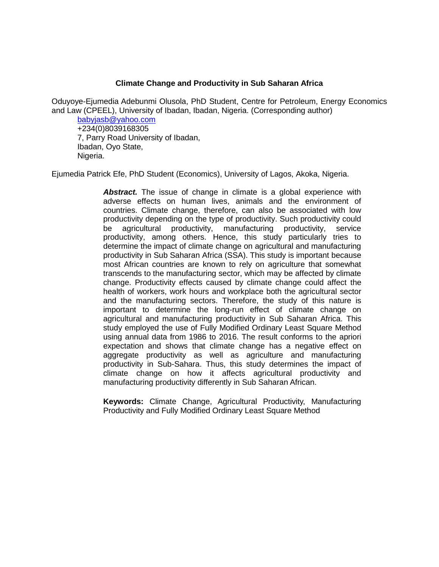### **Climate Change and Productivity in Sub Saharan Africa**

Oduyoye-Ejumedia Adebunmi Olusola, PhD Student, Centre for Petroleum, Energy Economics and Law (CPEEL), University of Ibadan, Ibadan, Nigeria. (Corresponding author)

[babyjasb@yahoo.com](mailto:babyjasb@yahoo.com) +234(0)8039168305 7, Parry Road University of Ibadan, Ibadan, Oyo State, Nigeria.

Ejumedia Patrick Efe, PhD Student (Economics), University of Lagos, Akoka, Nigeria.

**Abstract.** The issue of change in climate is a global experience with adverse effects on human lives, animals and the environment of countries. Climate change, therefore, can also be associated with low productivity depending on the type of productivity. Such productivity could be agricultural productivity, manufacturing productivity, service productivity, among others. Hence, this study particularly tries to determine the impact of climate change on agricultural and manufacturing productivity in Sub Saharan Africa (SSA). This study is important because most African countries are known to rely on agriculture that somewhat transcends to the manufacturing sector, which may be affected by climate change. Productivity effects caused by climate change could affect the health of workers, work hours and workplace both the agricultural sector and the manufacturing sectors. Therefore, the study of this nature is important to determine the long-run effect of climate change on agricultural and manufacturing productivity in Sub Saharan Africa. This study employed the use of Fully Modified Ordinary Least Square Method using annual data from 1986 to 2016. The result conforms to the apriori expectation and shows that climate change has a negative effect on aggregate productivity as well as agriculture and manufacturing productivity in Sub-Sahara. Thus, this study determines the impact of climate change on how it affects agricultural productivity and manufacturing productivity differently in Sub Saharan African.

**Keywords:** Climate Change, Agricultural Productivity, Manufacturing Productivity and Fully Modified Ordinary Least Square Method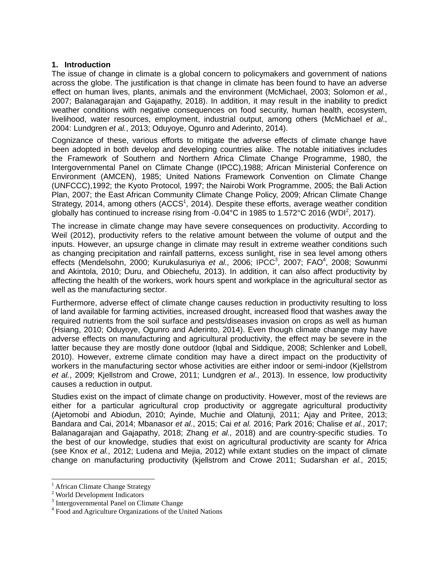#### **1. Introduction**

The issue of change in climate is a global concern to policymakers and government of nations across the globe. The justification is that change in climate has been found to have an adverse effect on human lives, plants, animals and the environment (McMichael, 2003; Solomon *et al.*, 2007; Balanagarajan and Gajapathy, 2018). In addition, it may result in the inability to predict weather conditions with negative consequences on food security, human health, ecosystem, livelihood, water resources, employment, industrial output, among others (McMichael *et al*., 2004: Lundgren *et al.*, 2013; Oduyoye, Ogunro and Aderinto, 2014).

Cognizance of these, various efforts to mitigate the adverse effects of climate change have been adopted in both develop and developing countries alike. The notable initiatives includes the Framework of Southern and Northern Africa Climate Change Programme, 1980, the Intergovernmental Panel on Climate Change (IPCC),1988; African Ministerial Conference on Environment (AMCEN), 1985; United Nations Framework Convention on Climate Change (UNFCCC),1992; the Kyoto Protocol, 1997; the Nairobi Work Programme, 2005; the Bali Action Plan, 2007; the East African Community Climate Change Policy, 2009; African Climate Change Strategy, 2014, among others (ACCS<sup>1</sup>, 2014). Despite these efforts, average weather condition globally has continued to increase rising from -0.04°C in 1985 to 1.572°C 2016 (WDI<sup>2</sup>, 2017).

The increase in climate change may have severe consequences on productivity. According to Weil (2012), productivity refers to the relative amount between the volume of output and the inputs. However, an upsurge change in climate may result in extreme weather conditions such as changing precipitation and rainfall patterns, excess sunlight, rise in sea level among others effects (Mendelsohn, 2000; Kurukulasuriya et al., 2006; IPCC<sup>3</sup>, 2007; FAO<sup>4</sup>, 2008; Sowunmi and Akintola, 2010; Duru, and Obiechefu, 2013). In addition, it can also affect productivity by affecting the health of the workers, work hours spent and workplace in the agricultural sector as well as the manufacturing sector.

Furthermore, adverse effect of climate change causes reduction in productivity resulting to loss of land available for farming activities, increased drought, increased flood that washes away the required nutrients from the soil surface and pests/diseases invasion on crops as well as human (Hsiang, 2010; Oduyoye, Ogunro and Aderinto, 2014). Even though climate change may have adverse effects on manufacturing and agricultural productivity, the effect may be severe in the latter because they are mostly done outdoor (Iqbal and Siddique, 2008; Schlenker and Lobell, 2010). However, extreme climate condition may have a direct impact on the productivity of workers in the manufacturing sector whose activities are either indoor or semi-indoor (Kjellstrom *et al.*, 2009; Kjellstrom and Crowe, 2011; Lundgren *et al*., 2013). In essence, low productivity causes a reduction in output.

Studies exist on the impact of climate change on productivity. However, most of the reviews are either for a particular agricultural crop productivity or aggregate agricultural productivity (Ajetomobi and Abiodun, 2010; Ayinde, Muchie and Olatunji*,* 2011; Ajay and Pritee, 2013; Bandara and Cai, 2014; Mbanasor *et al.*, 2015; Cai *et al.* 2016; Park 2016; Chalise *et al.*, 2017; Balanagarajan and Gajapathy, 2018; Zhang *et al.,* 2018) and are country-specific studies. To the best of our knowledge, studies that exist on agricultural productivity are scanty for Africa (see Knox *et al.,* 2012; Ludena and Mejia, 2012) while extant studies on the impact of climate change on manufacturing productivity (kjellstrom and Crowe 2011; Sudarshan *et al.,* 2015;

 $\overline{a}$ 

<sup>&</sup>lt;sup>1</sup> African Climate Change Strategy

<sup>2</sup> World Development Indicators

<sup>&</sup>lt;sup>3</sup> Intergovernmental Panel on Climate Change

<sup>4</sup> Food and Agriculture Organizations of the United Nations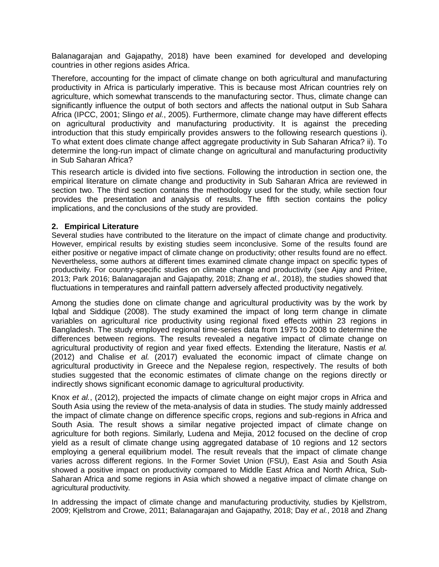Balanagarajan and Gajapathy, 2018) have been examined for developed and developing countries in other regions asides Africa.

Therefore, accounting for the impact of climate change on both agricultural and manufacturing productivity in Africa is particularly imperative. This is because most African countries rely on agriculture, which somewhat transcends to the manufacturing sector. Thus, climate change can significantly influence the output of both sectors and affects the national output in Sub Sahara Africa (IPCC, 2001; Slingo *et al.*, 2005). Furthermore, climate change may have different effects on agricultural productivity and manufacturing productivity. It is against the preceding introduction that this study empirically provides answers to the following research questions i). To what extent does climate change affect aggregate productivity in Sub Saharan Africa? ii). To determine the long-run impact of climate change on agricultural and manufacturing productivity in Sub Saharan Africa?

This research article is divided into five sections. Following the introduction in section one, the empirical literature on climate change and productivity in Sub Saharan Africa are reviewed in section two. The third section contains the methodology used for the study, while section four provides the presentation and analysis of results. The fifth section contains the policy implications, and the conclusions of the study are provided.

### **2. Empirical Literature**

Several studies have contributed to the literature on the impact of climate change and productivity. However, empirical results by existing studies seem inconclusive. Some of the results found are either positive or negative impact of climate change on productivity; other results found are no effect. Nevertheless, some authors at different times examined climate change impact on specific types of productivity. For country-specific studies on climate change and productivity (see Ajay and Pritee, 2013; Park 2016; Balanagarajan and Gajapathy, 2018; Zhang *et al.,* 2018), the studies showed that fluctuations in temperatures and rainfall pattern adversely affected productivity negatively.

Among the studies done on climate change and agricultural productivity was by the work by Iqbal and Siddique (2008). The study examined the impact of long term change in climate variables on agricultural rice productivity using regional fixed effects within 23 regions in Bangladesh. The study employed regional time-series data from 1975 to 2008 to determine the differences between regions. The results revealed a negative impact of climate change on agricultural productivity of region and year fixed effects. Extending the literature, Nastis *et al.* (2012) and Chalise *et al.* (2017) evaluated the economic impact of climate change on agricultural productivity in Greece and the Nepalese region, respectively. The results of both studies suggested that the economic estimates of climate change on the regions directly or indirectly shows significant economic damage to agricultural productivity.

Knox *et al.*, (2012), projected the impacts of climate change on eight major crops in Africa and South Asia using the review of the meta-analysis of data in studies. The study mainly addressed the impact of climate change on difference specific crops, regions and sub-regions in Africa and South Asia. The result shows a similar negative projected impact of climate change on agriculture for both regions. Similarly, Ludena and Mejia, 2012 focused on the decline of crop yield as a result of climate change using aggregated database of 10 regions and 12 sectors employing a general equilibrium model. The result reveals that the impact of climate change varies across different regions. In the Former Soviet Union (FSU), East Asia and South Asia showed a positive impact on productivity compared to Middle East Africa and North Africa, Sub-Saharan Africa and some regions in Asia which showed a negative impact of climate change on agricultural productivity.

In addressing the impact of climate change and manufacturing productivity, studies by Kjellstrom, 2009; Kjellstrom and Crowe, 2011; Balanagarajan and Gajapathy, 2018; Day *et al.*, 2018 and Zhang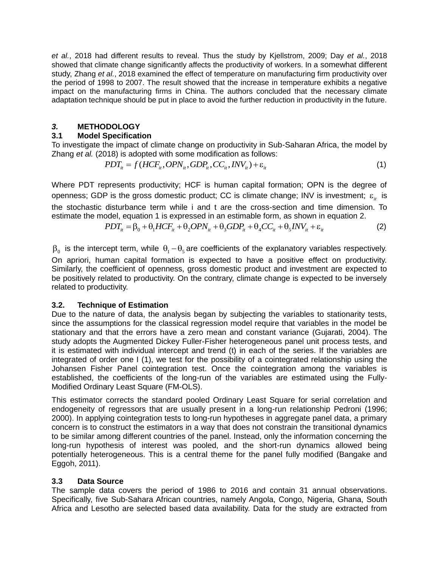*et al.*, 2018 had different results to reveal. Thus the study by Kjellstrom, 2009; Day *et al.*, 2018 showed that climate change significantly affects the productivity of workers. In a somewhat different study, Zhang *et al.*, 2018 examined the effect of temperature on manufacturing firm productivity over the period of 1998 to 2007. The result showed that the increase in temperature exhibits a negative impact on the manufacturing firms in China. The authors concluded that the necessary climate adaptation technique should be put in place to avoid the further reduction in productivity in the future.

## *3.* **METHODOLOGY**

## **3.1 Model Specification**

To investigate the impact of climate change on productivity in Sub-Saharan Africa, the model by Zhang *et al.* (2018) is adopted with some modification as follows: ne impact of climate change on productivity in Sub-Saharan Africa, the model by<br>)18) is adopted with some modification as follows:<br> $PDT_{i} = f(HCF_{i_l}, OPN_{i_l}, GDP_{i_l}, CC_{i_l}, INV_{i_l}) + \varepsilon_{i_l}$  (1)

$$
PDT_{ii} = f(HCF_{ii}, OPN_{ii}, GDP_{ii}, CC_{ii}, INV_{ii}) + \varepsilon_{ii}
$$
\n(1)

Where PDT represents productivity; HCF is human capital formation; OPN is the degree of openness; GDP is the gross domestic product; CC is climate change; INV is investment;  $\varepsilon_{it}^{\text{}}$  is the stochastic disturbance term while i and t are the cross-section and time dimension. To estimate the model, equation 1 is expressed in an estimable form, as shown in equation 2. disturbance term while i and t are the cross-section and time dimensional disturbance term while i and t are the cross-section and time dimensional potential point of  $PDT_{ii} = \beta_0 + \theta_1 HCF_{ii} + \theta_2 OPN_{ii} + \theta_3 GDP_{ii} + \theta_4 CC_{ii} + \theta_5$ 

$$
PDT_{it} = \beta_0 + \theta_1 HCF_{it} + \theta_2 OPN_{it} + \theta_3 GDP_{it} + \theta_4 CC_{it} + \theta_5 INV_{it} + \varepsilon_{it}
$$
 (2)

 $\beta_0$  is the intercept term, while  $\theta_1-\theta_5$  are coefficients of the explanatory variables respectively. On apriori, human capital formation is expected to have a positive effect on productivity. Similarly, the coefficient of openness, gross domestic product and investment are expected to be positively related to productivity. On the contrary, climate change is expected to be inversely related to productivity.

## **3.2. Technique of Estimation**

Due to the nature of data, the analysis began by subjecting the variables to stationarity tests, since the assumptions for the classical regression model require that variables in the model be stationary and that the errors have a zero mean and constant variance (Gujarati, 2004). The study adopts the Augmented Dickey Fuller-Fisher heterogeneous panel unit process tests, and it is estimated with individual intercept and trend (t) in each of the series. If the variables are integrated of order one I (1), we test for the possibility of a cointegrated relationship using the Johansen Fisher Panel cointegration test. Once the cointegration among the variables is established, the coefficients of the long-run of the variables are estimated using the Fully-Modified Ordinary Least Square (FM-OLS).

This estimator corrects the standard pooled Ordinary Least Square for serial correlation and endogeneity of regressors that are usually present in a long-run relationship Pedroni (1996; 2000). In applying cointegration tests to long-run hypotheses in aggregate panel data, a primary concern is to construct the estimators in a way that does not constrain the transitional dynamics to be similar among different countries of the panel. Instead, only the information concerning the long-run hypothesis of interest was pooled, and the short-run dynamics allowed being potentially heterogeneous. This is a central theme for the panel fully modified (Bangake and Eggoh, 2011).

# **3.3 Data Source**

The sample data covers the period of 1986 to 2016 and contain 31 annual observations. Specifically, five Sub-Sahara African countries, namely Angola, Congo, Nigeria, Ghana, South Africa and Lesotho are selected based data availability. Data for the study are extracted from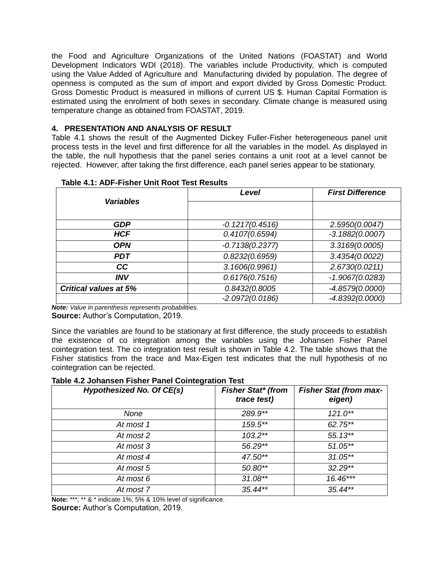the Food and Agriculture Organizations of the United Nations (FOASTAT) and World Development Indicators WDI (2018). The variables include Productivity, which is computed using the Value Added of Agriculture and Manufacturing divided by population. The degree of openness is computed as the sum of import and export divided by Gross Domestic Product. Gross Domestic Product is measured in millions of current US \$. Human Capital Formation is estimated using the enrolment of both sexes in secondary. Climate change is measured using temperature change as obtained from FOASTAT, 2019.

## **4. PRESENTATION AND ANALYSIS OF RESULT**

Table 4.1 shows the result of the Augmented Dickey Fuller-Fisher heterogeneous panel unit process tests in the level and first difference for all the variables in the model. As displayed in the table, the null hypothesis that the panel series contains a unit root at a level cannot be rejected. However, after taking the first difference, each panel series appear to be stationary.

|                              | Level             | <b>First Difference</b> |  |
|------------------------------|-------------------|-------------------------|--|
| <b>Variables</b>             |                   |                         |  |
| <b>GDP</b>                   | $-0.1217(0.4516)$ | 2.5950(0.0047)          |  |
| <b>HCF</b>                   | 0.4107(0.6594)    | $-3.1882(0.0007)$       |  |
| <b>OPN</b>                   | $-0.7138(0.2377)$ | 3.3169(0.0005)          |  |
| <b>PDT</b>                   | 0.8232(0.6959)    | 3.4354(0.0022)          |  |
| cc                           | 3.1606(0.9961)    | 2.6730(0.0211)          |  |
| <b>INV</b>                   | 0.6176(0.7516)    | $-1.9067(0.0283)$       |  |
| <b>Critical values at 5%</b> | 0.8432(0.8005)    | $-4.8579(0.0000)$       |  |
|                              | $-2.0972(0.0186)$ | $-4.8392(0.0000)$       |  |

#### **Table 4.1: ADF-Fisher Unit Root Test Results**

*Note: Value in parenthesis represents probabilities.* **Source:** Author's Computation, 2019.

Since the variables are found to be stationary at first difference, the study proceeds to establish the existence of co integration among the variables using the Johansen Fisher Panel cointegration test. The co integration test result is shown in Table 4.2. The table shows that the Fisher statistics from the trace and Max-Eigen test indicates that the null hypothesis of no cointegration can be rejected.

| Table 4.2 Johansen Fisher Panel Cointegration Test |  |  |  |  |  |  |
|----------------------------------------------------|--|--|--|--|--|--|
|----------------------------------------------------|--|--|--|--|--|--|

| <b>Hypothesized No. Of CE(s)</b> | <b>Fisher Stat* (from</b><br>trace test) | <b>Fisher Stat (from max-</b><br>eigen) |
|----------------------------------|------------------------------------------|-----------------------------------------|
| None                             | 289.9**                                  | $121.0**$                               |
| At most 1                        | 159.5**                                  | 62.75**                                 |
| At most 2                        | $103.2**$                                | $55.13**$                               |
| At most 3                        | 56.29**                                  | $51.05**$                               |
| At most 4                        | $47.50**$                                | $31.05**$                               |
| At most 5                        | $50.80**$                                | $32.29**$                               |
| At most 6                        | $31.08**$                                | $16.46***$                              |
| At most 7                        | $35.44**$                                | $35.44**$                               |

**Note:** \*\*\*; \*\* & \* indicate 1%; 5% & 10% level of significance.

**Source:** Author's Computation, 2019.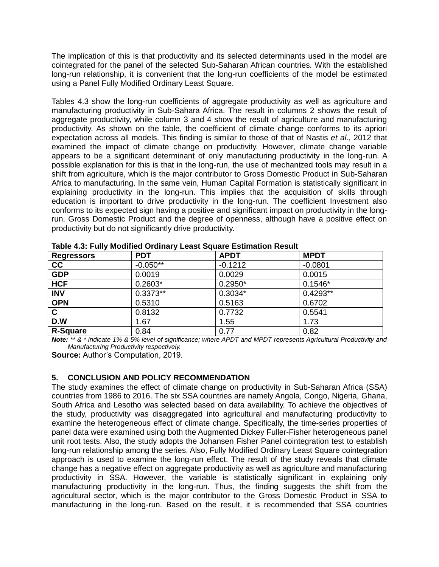The implication of this is that productivity and its selected determinants used in the model are cointegrated for the panel of the selected Sub-Saharan African countries. With the established long-run relationship, it is convenient that the long-run coefficients of the model be estimated using a Panel Fully Modified Ordinary Least Square.

Tables 4.3 show the long-run coefficients of aggregate productivity as well as agriculture and manufacturing productivity in Sub-Sahara Africa. The result in columns 2 shows the result of aggregate productivity, while column 3 and 4 show the result of agriculture and manufacturing productivity. As shown on the table, the coefficient of climate change conforms to its apriori expectation across all models. This finding is similar to those of that of Nastis *et al*., 2012 that examined the impact of climate change on productivity. However, climate change variable appears to be a significant determinant of only manufacturing productivity in the long-run. A possible explanation for this is that in the long-run, the use of mechanized tools may result in a shift from agriculture, which is the major contributor to Gross Domestic Product in Sub-Saharan Africa to manufacturing. In the same vein, Human Capital Formation is statistically significant in explaining productivity in the long-run. This implies that the acquisition of skills through education is important to drive productivity in the long-run. The coefficient Investment also conforms to its expected sign having a positive and significant impact on productivity in the longrun. Gross Domestic Product and the degree of openness, although have a positive effect on productivity but do not significantly drive productivity.

| <b>Regressors</b> | <b>PDT</b> | <b>APDT</b> | <b>MPDT</b> |
|-------------------|------------|-------------|-------------|
| cc                | $-0.050**$ | $-0.1212$   | $-0.0801$   |
| <b>GDP</b>        | 0.0019     | 0.0029      | 0.0015      |
| <b>HCF</b>        | $0.2603*$  | $0.2950*$   | $0.1546*$   |
| <b>INV</b>        | $0.3373**$ | $0.3034*$   | $0.4293**$  |
| <b>OPN</b>        | 0.5310     | 0.5163      | 0.6702      |
| C.                | 0.8132     | 0.7732      | 0.5541      |
| D.W               | 1.67       | 1.55        | 1.73        |
| <b>R-Square</b>   | 0.84       | 0.77        | 0.82        |

**Table 4.3: Fully Modified Ordinary Least Square Estimation Result**

*Note: \*\* & \* indicate 1% & 5% level of significance; where APDT and MPDT represents Agricultural Productivity and Manufacturing Productivity respectively.* 

**Source:** Author's Computation, 2019.

# **5. CONCLUSION AND POLICY RECOMMENDATION**

The study examines the effect of climate change on productivity in Sub-Saharan Africa (SSA) countries from 1986 to 2016. The six SSA countries are namely Angola, Congo, Nigeria, Ghana, South Africa and Lesotho was selected based on data availability. To achieve the objectives of the study, productivity was disaggregated into agricultural and manufacturing productivity to examine the heterogeneous effect of climate change. Specifically, the time-series properties of panel data were examined using both the Augmented Dickey Fuller-Fisher heterogeneous panel unit root tests. Also, the study adopts the Johansen Fisher Panel cointegration test to establish long-run relationship among the series. Also, Fully Modified Ordinary Least Square cointegration approach is used to examine the long-run effect. The result of the study reveals that climate change has a negative effect on aggregate productivity as well as agriculture and manufacturing productivity in SSA. However, the variable is statistically significant in explaining only manufacturing productivity in the long-run. Thus, the finding suggests the shift from the agricultural sector, which is the major contributor to the Gross Domestic Product in SSA to manufacturing in the long-run. Based on the result, it is recommended that SSA countries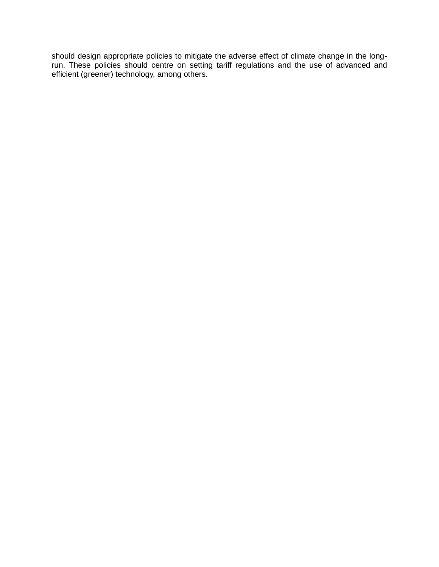should design appropriate policies to mitigate the adverse effect of climate change in the longrun. These policies should centre on setting tariff regulations and the use of advanced and efficient (greener) technology, among others.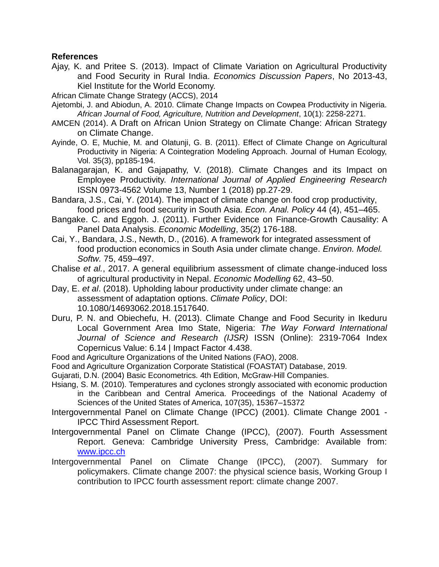## **References**

Ajay, K. and Pritee S. (2013). Impact of Climate Variation on Agricultural Productivity and Food Security in Rural India. *Economics Discussion Papers*, No 2013-43, Kiel Institute for the World Economy.

African Climate Change Strategy (ACCS), 2014

- Ajetombi, J. and Abiodun, A. 2010. Climate Change Impacts on Cowpea Productivity in Nigeria. *African Journal of Food, Agriculture, Nutrition and Development*, 10(1): 2258-2271.
- AMCEN (2014). A Draft on African Union Strategy on Climate Change: African Strategy on Climate Change.
- Ayinde, O. E, Muchie, M. and Olatunji, G. B. (2011). Effect of Climate Change on Agricultural Productivity in Nigeria: A Cointegration Modeling Approach. Journal of Human Ecology, Vol. 35(3), pp185-194.
- Balanagarajan, K. and Gajapathy, V. (2018). Climate Changes and its Impact on Employee Productivity. *International Journal of Applied Engineering Research* ISSN 0973-4562 Volume 13, Number 1 (2018) pp.27-29.
- Bandara, J.S., Cai, Y. (2014). The impact of climate change on food crop productivity, food prices and food security in South Asia. *Econ. Anal. Policy* 44 (4), 451–465.
- Bangake. C. and Eggoh. J. (2011). Further Evidence on Finance-Growth Causality: A Panel Data Analysis. *Economic Modelling*, 35(2) 176-188.
- Cai, Y., Bandara, J.S., Newth, D., (2016). A framework for integrated assessment of food production economics in South Asia under climate change. *Environ. Model. Softw.* 75, 459–497.
- Chalise *et al.*, 2017. A general equilibrium assessment of climate change-induced loss of agricultural productivity in Nepal. *Economic Modelling* 62, 43–50.
- Day, E. *et al*. (2018). Upholding labour productivity under climate change: an assessment of adaptation options. *Climate Policy*, DOI: 10.1080/14693062.2018.1517640.
- Duru, P. N. and Obiechefu, H. (2013). Climate Change and Food Security in Ikeduru Local Government Area Imo State, Nigeria: *The Way Forward International Journal of Science and Research (IJSR)* ISSN (Online): 2319-7064 Index Copernicus Value: 6.14 | Impact Factor 4.438.
- Food and Agriculture Organizations of the United Nations (FAO), 2008.
- Food and Agriculture Organization Corporate Statistical (FOASTAT) Database, 2019.

Gujarati, D.N. (2004) Basic Econometrics. 4th Edition, McGraw-Hill Companies.

- Hsiang, S. M. (2010). Temperatures and cyclones strongly associated with economic production in the Caribbean and Central America. Proceedings of the National Academy of Sciences of the United States of America, 107(35), 15367–15372
- Intergovernmental Panel on Climate Change (IPCC) (2001). Climate Change 2001 IPCC Third Assessment Report.
- Intergovernmental Panel on Climate Change (IPCC), (2007). Fourth Assessment Report. Geneva: Cambridge University Press, Cambridge: Available from: [www.ipcc.ch](http://www.ipcc.ch/)
- Intergovernmental Panel on Climate Change (IPCC), (2007). Summary for policymakers. Climate change 2007: the physical science basis, Working Group I contribution to IPCC fourth assessment report: climate change 2007.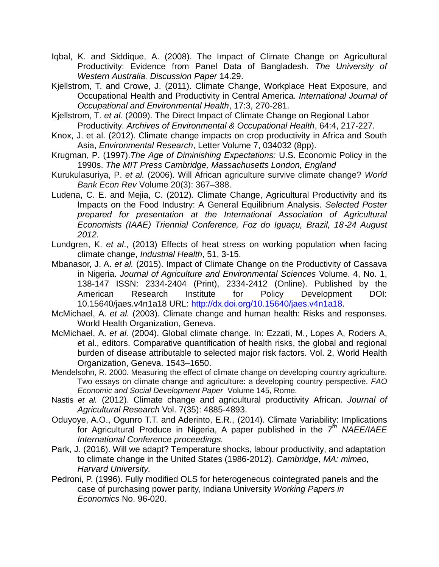- Iqbal, K. and Siddique, A. (2008). The Impact of Climate Change on Agricultural Productivity: Evidence from Panel Data of Bangladesh. *The University of Western Australia. Discussion Paper* 14.29.
- Kjellstrom, T. and Crowe, J. (2011). Climate Change, Workplace Heat Exposure, and Occupational Health and Productivity in Central America. *International Journal of Occupational and Environmental Health*, 17:3, 270-281.
- Kjellstrom, T. *et al.* (2009). The Direct Impact of Climate Change on Regional Labor Productivity. *Archives of Environmental & Occupational Health*, 64:4, 217-227.
- Knox, J. et al. (2012). Climate change impacts on crop productivity in Africa and South Asia, *Environmental Research*, Letter Volume 7, 034032 (8pp).
- Krugman, P. (1997).*The Age of Diminishing Expectations:* U.S. Economic Policy in the 1990s. *The MIT Press Cambridge, Massachusetts London, England*
- Kurukulasuriya, P. *et al.* (2006). Will African agriculture survive climate change? *World Bank Econ Rev* Volume 20(3): 367–388.
- Ludena, C. E. and Mejia, C. (2012)*.* Climate Change, Agricultural Productivity and its Impacts on the Food Industry: A General Equilibrium Analysis. *Selected Poster prepared for presentation at the International Association of Agricultural Economists (IAAE) Triennial Conference, Foz do Iguaçu, Brazil, 18*‐*24 August 2012.*
- Lundgren, K. *et al*., (2013) Effects of heat stress on working population when facing climate change, *Industrial Health*, 51, 3-15.
- Mbanasor, J. A. *et al.* (2015). Impact of Climate Change on the Productivity of Cassava in Nigeria. *Journal of Agriculture and Environmental Sciences* Volume. 4, No. 1, 138-147 ISSN: 2334-2404 (Print), 2334-2412 (Online). Published by the American Research Institute for Policy Development DOI: 10.15640/jaes.v4n1a18 URL: [http://dx.doi.org/10.15640/jaes.v4n1a18.](http://dx.doi.org/10.15640/jaes.v4n1a18)
- McMichael, A. *et al.* (2003). Climate change and human health: Risks and responses. World Health Organization, Geneva.
- McMichael, A. *et al.* (2004). Global climate change. In: Ezzati, M., Lopes A, Roders A, et al., editors. Comparative quantification of health risks, the global and regional burden of disease attributable to selected major risk factors. Vol. 2, World Health Organization, Geneva. 1543–1650.
- Mendelsohn, R. 2000. Measuring the effect of climate change on developing country agriculture. Two essays on climate change and agriculture: a developing country perspective. *FAO Economic and Social Development Paper* Volume 145, Rome.
- Nastis *et al.* (2012). Climate change and agricultural productivity African. *Journal of Agricultural Research* Vol. 7(35): 4885-4893.
- Oduyoye, A.O., Ogunro T.T. and Aderinto, E.R., (2014). Climate Variability: Implications for Agricultural Produce in Nigeria, A paper published in the *7 th NAEE/IAEE International Conference proceedings.*
- Park, J. (2016). Will we adapt? Temperature shocks, labour productivity, and adaptation to climate change in the United States (1986-2012). *Cambridge, MA: mimeo, Harvard University.*
- Pedroni, P. (1996). Fully modified OLS for heterogeneous cointegrated panels and the case of purchasing power parity, Indiana University *Working Papers in Economics* No. 96-020.